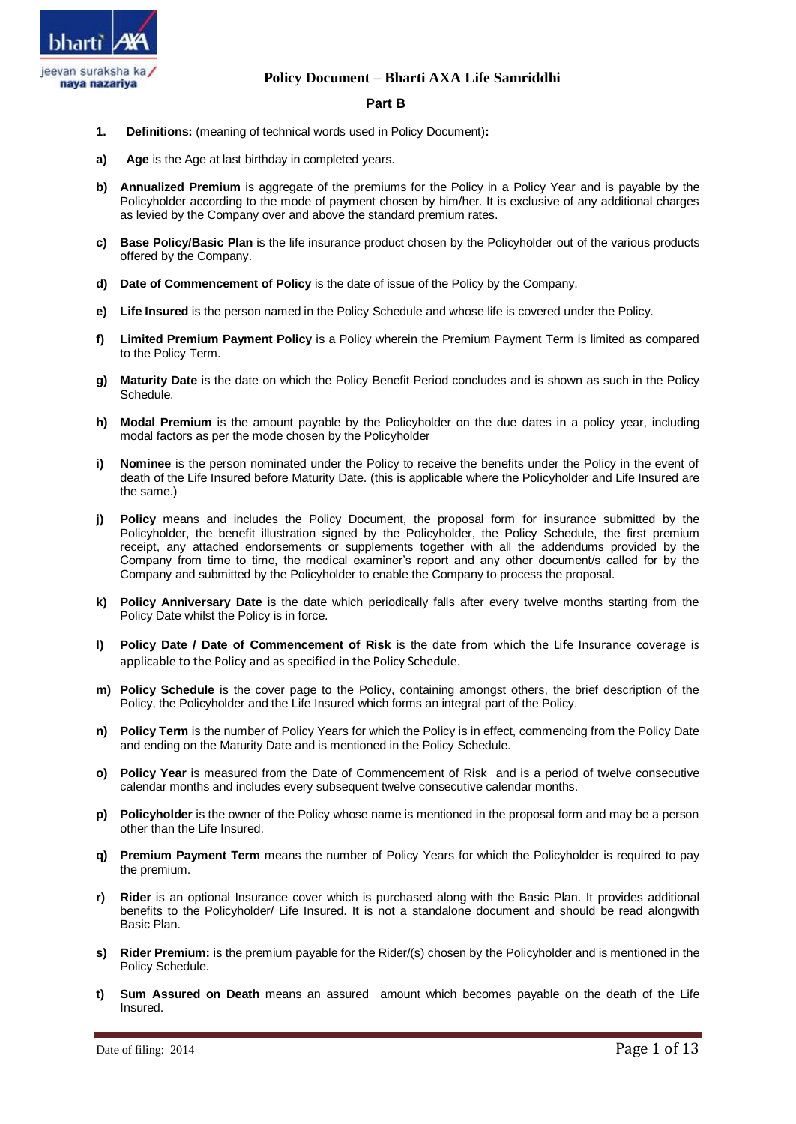

# **Part B**

- **1. Definitions:** (meaning of technical words used in Policy Document)**:**
- **a) Age** is the Age at last birthday in completed years.
- **b) Annualized Premium** is aggregate of the premiums for the Policy in a Policy Year and is payable by the Policyholder according to the mode of payment chosen by him/her. It is exclusive of any additional charges as levied by the Company over and above the standard premium rates.
- **c) Base Policy/Basic Plan** is the life insurance product chosen by the Policyholder out of the various products offered by the Company.
- **d) Date of Commencement of Policy** is the date of issue of the Policy by the Company.
- **e) Life Insured** is the person named in the Policy Schedule and whose life is covered under the Policy.
- **f) Limited Premium Payment Policy** is a Policy wherein the Premium Payment Term is limited as compared to the Policy Term.
- **g) Maturity Date** is the date on which the Policy Benefit Period concludes and is shown as such in the Policy Schedule.
- **h) Modal Premium** is the amount payable by the Policyholder on the due dates in a policy year, including modal factors as per the mode chosen by the Policyholder
- **i) Nominee** is the person nominated under the Policy to receive the benefits under the Policy in the event of death of the Life Insured before Maturity Date. (this is applicable where the Policyholder and Life Insured are the same.)
- **j) Policy** means and includes the Policy Document, the proposal form for insurance submitted by the Policyholder, the benefit illustration signed by the Policyholder, the Policy Schedule, the first premium receipt, any attached endorsements or supplements together with all the addendums provided by the Company from time to time, the medical examiner's report and any other document/s called for by the Company and submitted by the Policyholder to enable the Company to process the proposal.
- **k) Policy Anniversary Date** is the date which periodically falls after every twelve months starting from the Policy Date whilst the Policy is in force.
- **l) Policy Date / Date of Commencement of Risk** is the date from which the Life Insurance coverage is applicable to the Policy and as specified in the Policy Schedule.
- **m) Policy Schedule** is the cover page to the Policy, containing amongst others, the brief description of the Policy, the Policyholder and the Life Insured which forms an integral part of the Policy.
- **n) Policy Term** is the number of Policy Years for which the Policy is in effect, commencing from the Policy Date and ending on the Maturity Date and is mentioned in the Policy Schedule.
- **o) Policy Year** is measured from the Date of Commencement of Risk and is a period of twelve consecutive calendar months and includes every subsequent twelve consecutive calendar months.
- **p) Policyholder** is the owner of the Policy whose name is mentioned in the proposal form and may be a person other than the Life Insured.
- **q) Premium Payment Term** means the number of Policy Years for which the Policyholder is required to pay the premium.
- **r) Rider** is an optional Insurance cover which is purchased along with the Basic Plan. It provides additional benefits to the Policyholder/ Life Insured. It is not a standalone document and should be read alongwith Basic Plan.
- **s) Rider Premium:** is the premium payable for the Rider/(s) chosen by the Policyholder and is mentioned in the Policy Schedule.
- **t) Sum Assured on Death** means an assured amount which becomes payable on the death of the Life **Insured.**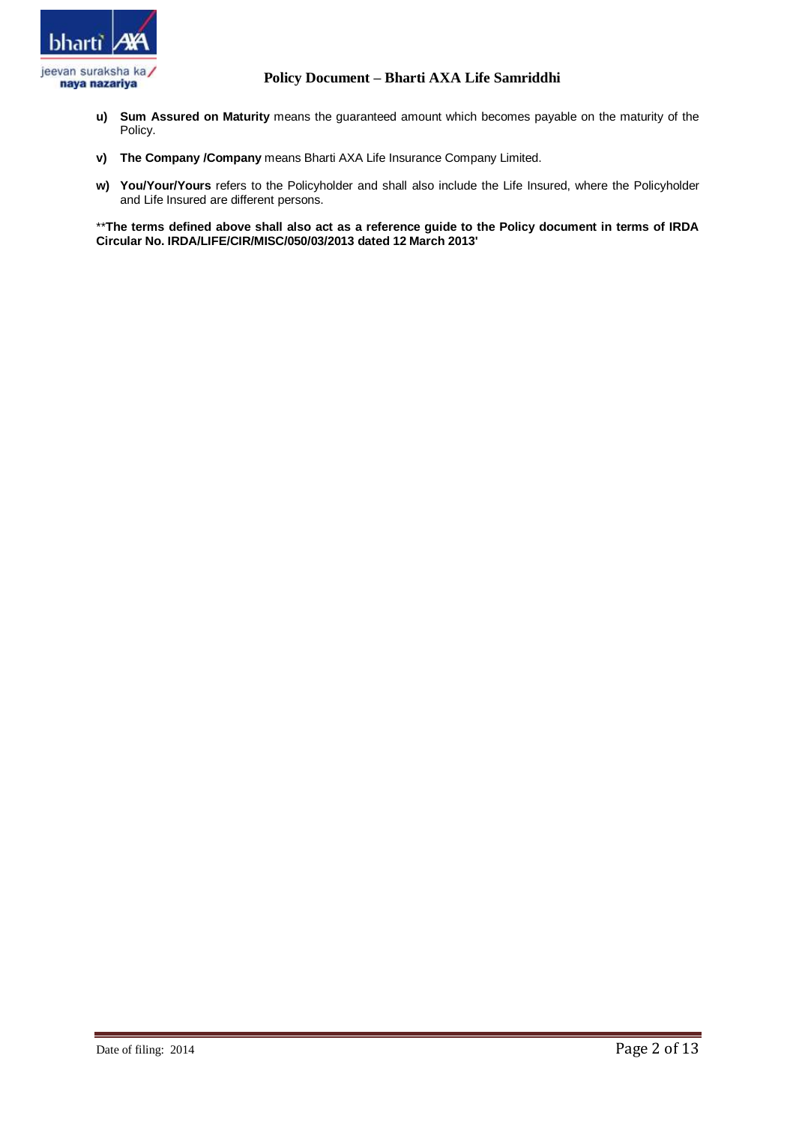

- **u) Sum Assured on Maturity** means the guaranteed amount which becomes payable on the maturity of the Policy.
- **v) The Company /Company** means Bharti AXA Life Insurance Company Limited.
- **w) You/Your/Yours** refers to the Policyholder and shall also include the Life Insured, where the Policyholder and Life Insured are different persons.

\*\***The terms defined above shall also act as a reference guide to the Policy document in terms of IRDA Circular No. IRDA/LIFE/CIR/MISC/050/03/2013 dated 12 March 2013'**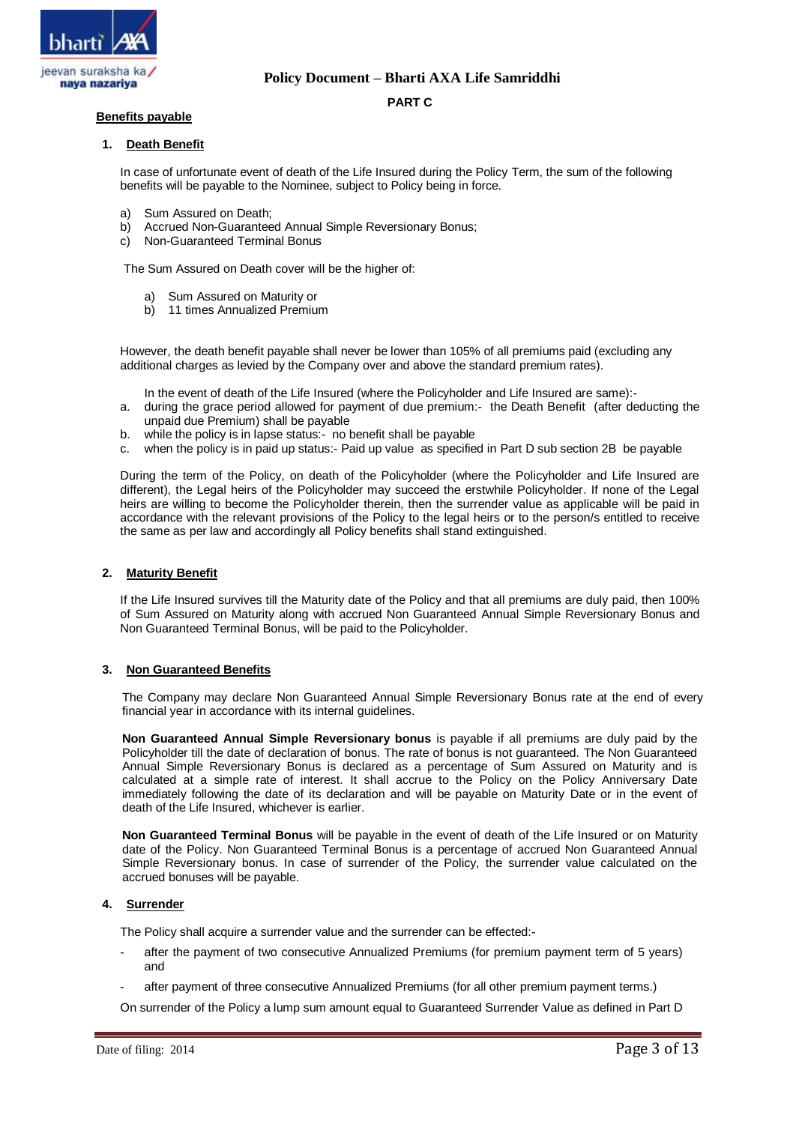

### **PART C**

### **Benefits payable**

#### **1. Death Benefit**

In case of unfortunate event of death of the Life Insured during the Policy Term, the sum of the following benefits will be payable to the Nominee, subject to Policy being in force.

- a) Sum Assured on Death;
- b) Accrued Non-Guaranteed Annual Simple Reversionary Bonus;
- c) Non-Guaranteed Terminal Bonus

The Sum Assured on Death cover will be the higher of:

- a) Sum Assured on Maturity or
- b) 11 times Annualized Premium

However, the death benefit payable shall never be lower than 105% of all premiums paid (excluding any additional charges as levied by the Company over and above the standard premium rates).

In the event of death of the Life Insured (where the Policyholder and Life Insured are same):-

- a. during the grace period allowed for payment of due premium:- the Death Benefit (after deducting the unpaid due Premium) shall be payable
- b. while the policy is in lapse status:- no benefit shall be payable
- c. when the policy is in paid up status:- Paid up value as specified in Part D sub section 2B be payable

During the term of the Policy, on death of the Policyholder (where the Policyholder and Life Insured are different), the Legal heirs of the Policyholder may succeed the erstwhile Policyholder. If none of the Legal heirs are willing to become the Policyholder therein, then the surrender value as applicable will be paid in accordance with the relevant provisions of the Policy to the legal heirs or to the person/s entitled to receive the same as per law and accordingly all Policy benefits shall stand extinguished.

#### **2. Maturity Benefit**

If the Life Insured survives till the Maturity date of the Policy and that all premiums are duly paid, then 100% of Sum Assured on Maturity along with accrued Non Guaranteed Annual Simple Reversionary Bonus and Non Guaranteed Terminal Bonus, will be paid to the Policyholder.

#### **3. Non Guaranteed Benefits**

The Company may declare Non Guaranteed Annual Simple Reversionary Bonus rate at the end of every financial year in accordance with its internal guidelines.

**Non Guaranteed Annual Simple Reversionary bonus** is payable if all premiums are duly paid by the Policyholder till the date of declaration of bonus. The rate of bonus is not guaranteed. The Non Guaranteed Annual Simple Reversionary Bonus is declared as a percentage of Sum Assured on Maturity and is calculated at a simple rate of interest. It shall accrue to the Policy on the Policy Anniversary Date immediately following the date of its declaration and will be payable on Maturity Date or in the event of death of the Life Insured, whichever is earlier.

**Non Guaranteed Terminal Bonus** will be payable in the event of death of the Life Insured or on Maturity date of the Policy. Non Guaranteed Terminal Bonus is a percentage of accrued Non Guaranteed Annual Simple Reversionary bonus. In case of surrender of the Policy, the surrender value calculated on the accrued bonuses will be payable.

## **4. Surrender**

The Policy shall acquire a surrender value and the surrender can be effected:-

- after the payment of two consecutive Annualized Premiums (for premium payment term of 5 years) and
- after payment of three consecutive Annualized Premiums (for all other premium payment terms.)

On surrender of the Policy a lump sum amount equal to Guaranteed Surrender Value as defined in Part D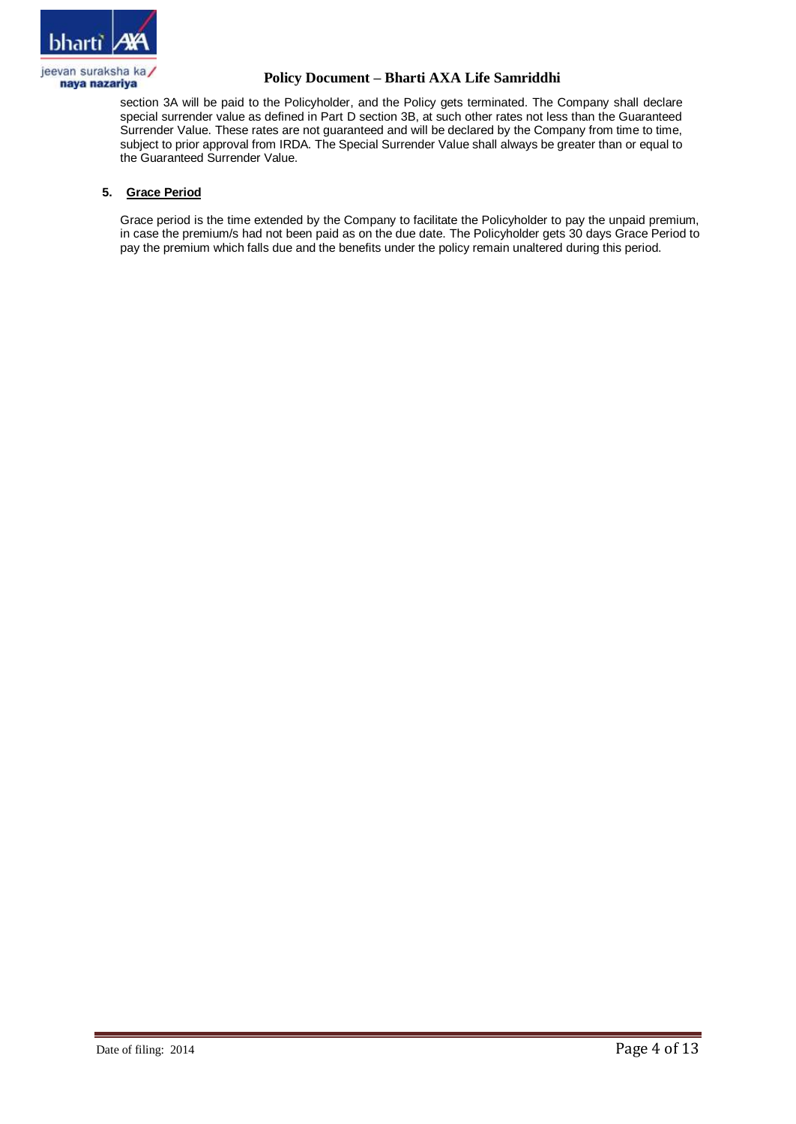

section 3A will be paid to the Policyholder, and the Policy gets terminated. The Company shall declare special surrender value as defined in Part D section 3B, at such other rates not less than the Guaranteed Surrender Value. These rates are not guaranteed and will be declared by the Company from time to time, subject to prior approval from IRDA. The Special Surrender Value shall always be greater than or equal to the Guaranteed Surrender Value.

# **5. Grace Period**

Grace period is the time extended by the Company to facilitate the Policyholder to pay the unpaid premium, in case the premium/s had not been paid as on the due date. The Policyholder gets 30 days Grace Period to pay the premium which falls due and the benefits under the policy remain unaltered during this period.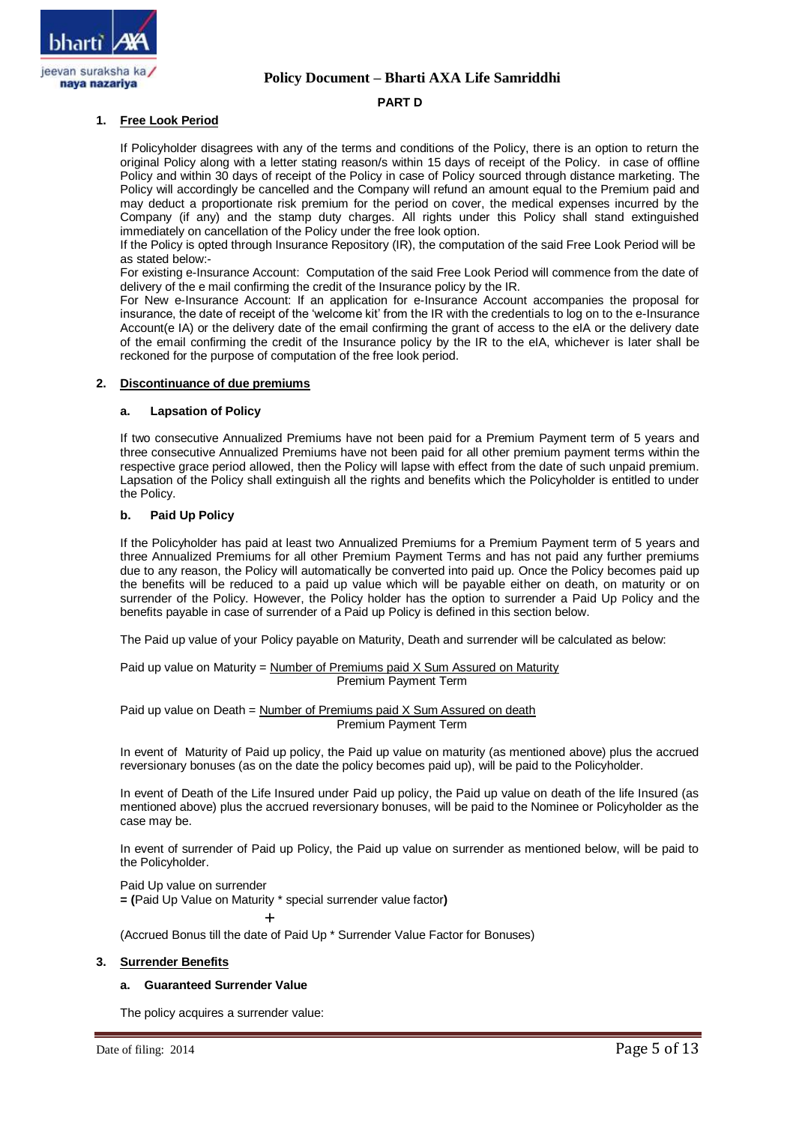

### **PART D**

## **1. Free Look Period**

If Policyholder disagrees with any of the terms and conditions of the Policy, there is an option to return the original Policy along with a letter stating reason/s within 15 days of receipt of the Policy. in case of offline Policy and within 30 days of receipt of the Policy in case of Policy sourced through distance marketing. The Policy will accordingly be cancelled and the Company will refund an amount equal to the Premium paid and may deduct a proportionate risk premium for the period on cover, the medical expenses incurred by the Company (if any) and the stamp duty charges. All rights under this Policy shall stand extinguished immediately on cancellation of the Policy under the free look option.

If the Policy is opted through Insurance Repository (IR), the computation of the said Free Look Period will be as stated below:-

For existing e-Insurance Account: Computation of the said Free Look Period will commence from the date of delivery of the e mail confirming the credit of the Insurance policy by the IR.

For New e-Insurance Account: If an application for e-Insurance Account accompanies the proposal for insurance, the date of receipt of the 'welcome kit' from the IR with the credentials to log on to the e-Insurance Account(e IA) or the delivery date of the email confirming the grant of access to the eIA or the delivery date of the email confirming the credit of the Insurance policy by the IR to the eIA, whichever is later shall be reckoned for the purpose of computation of the free look period.

### **2. Discontinuance of due premiums**

### **a. Lapsation of Policy**

If two consecutive Annualized Premiums have not been paid for a Premium Payment term of 5 years and three consecutive Annualized Premiums have not been paid for all other premium payment terms within the respective grace period allowed, then the Policy will lapse with effect from the date of such unpaid premium. Lapsation of the Policy shall extinguish all the rights and benefits which the Policyholder is entitled to under the Policy.

### **b. Paid Up Policy**

If the Policyholder has paid at least two Annualized Premiums for a Premium Payment term of 5 years and three Annualized Premiums for all other Premium Payment Terms and has not paid any further premiums due to any reason, the Policy will automatically be converted into paid up. Once the Policy becomes paid up the benefits will be reduced to a paid up value which will be payable either on death, on maturity or on surrender of the Policy. However, the Policy holder has the option to surrender a Paid Up Policy and the benefits payable in case of surrender of a Paid up Policy is defined in this section below.

The Paid up value of your Policy payable on Maturity, Death and surrender will be calculated as below:

Paid up value on Maturity = Number of Premiums paid X Sum Assured on Maturity Premium Payment Term

Paid up value on Death = Number of Premiums paid X Sum Assured on death Premium Payment Term

In event of Maturity of Paid up policy, the Paid up value on maturity (as mentioned above) plus the accrued reversionary bonuses (as on the date the policy becomes paid up), will be paid to the Policyholder.

In event of Death of the Life Insured under Paid up policy, the Paid up value on death of the life Insured (as mentioned above) plus the accrued reversionary bonuses, will be paid to the Nominee or Policyholder as the case may be.

In event of surrender of Paid up Policy, the Paid up value on surrender as mentioned below, will be paid to the Policyholder.

Paid Up value on surrender

**= (**Paid Up Value on Maturity \* special surrender value factor**)**

+

(Accrued Bonus till the date of Paid Up \* Surrender Value Factor for Bonuses)

### **3. Surrender Benefits**

## **a. Guaranteed Surrender Value**

The policy acquires a surrender value: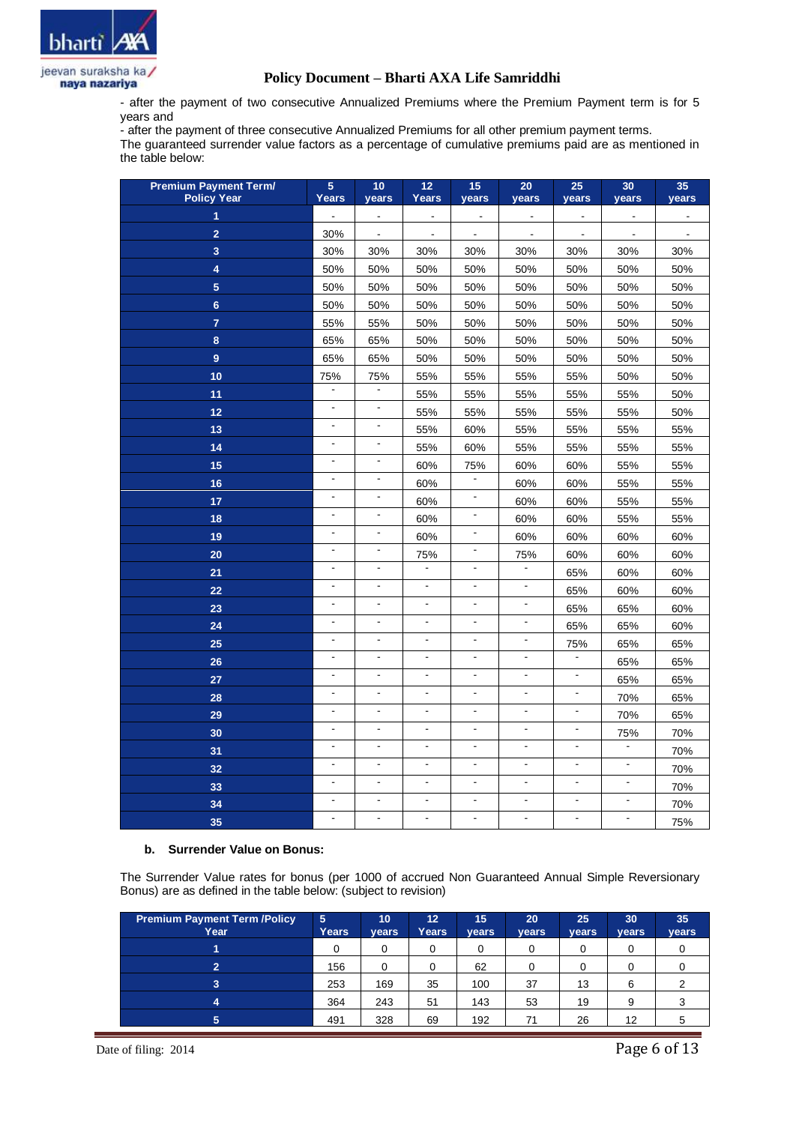

- after the payment of two consecutive Annualized Premiums where the Premium Payment term is for 5 years and

- after the payment of three consecutive Annualized Premiums for all other premium payment terms. The guaranteed surrender value factors as a percentage of cumulative premiums paid are as mentioned in the table below:

| <b>Premium Payment Term/</b><br><b>Policy Year</b> | $\overline{5}$<br><b>Years</b> | 10<br>years    | 12<br><b>Years</b>       | 15<br>years              | 20<br>years              | 25<br>years    | 30<br>years              | 35<br>years    |
|----------------------------------------------------|--------------------------------|----------------|--------------------------|--------------------------|--------------------------|----------------|--------------------------|----------------|
| 1                                                  | $\blacksquare$                 | $\blacksquare$ | $\blacksquare$           | $\blacksquare$           | $\overline{\phantom{a}}$ | $\blacksquare$ | $\overline{\phantom{a}}$ |                |
| $\overline{2}$                                     | 30%                            | $\blacksquare$ | $\overline{\phantom{a}}$ | $\blacksquare$           | $\blacksquare$           | $\blacksquare$ | $\blacksquare$           | $\overline{a}$ |
| 3                                                  | 30%                            | 30%            | 30%                      | 30%                      | 30%                      | 30%            | 30%                      | 30%            |
| 4                                                  | 50%                            | 50%            | 50%                      | 50%                      | 50%                      | 50%            | 50%                      | 50%            |
| 5 <sub>5</sub>                                     | 50%                            | 50%            | 50%                      | 50%                      | 50%                      | 50%            | 50%                      | 50%            |
| $6\phantom{1}$                                     | 50%                            | 50%            | 50%                      | 50%                      | 50%                      | 50%            | 50%                      | 50%            |
| $\overline{7}$                                     | 55%                            | 55%            | 50%                      | 50%                      | 50%                      | 50%            | 50%                      | 50%            |
| 8                                                  | 65%                            | 65%            | 50%                      | 50%                      | 50%                      | 50%            | 50%                      | 50%            |
| 9                                                  | 65%                            | 65%            | 50%                      | 50%                      | 50%                      | 50%            | 50%                      | 50%            |
| 10                                                 | 75%                            | 75%            | 55%                      | 55%                      | 55%                      | 55%            | 50%                      | 50%            |
| 11                                                 | $\blacksquare$                 | $\blacksquare$ | 55%                      | 55%                      | 55%                      | 55%            | 55%                      | 50%            |
| 12                                                 | $\overline{\phantom{a}}$       | $\blacksquare$ | 55%                      | 55%                      | 55%                      | 55%            | 55%                      | 50%            |
| 13                                                 | $\blacksquare$                 | $\blacksquare$ | 55%                      | 60%                      | 55%                      | 55%            | 55%                      | 55%            |
| 14                                                 | $\blacksquare$                 | $\blacksquare$ | 55%                      | 60%                      | 55%                      | 55%            | 55%                      | 55%            |
| 15                                                 | ä,                             | $\blacksquare$ | 60%                      | 75%                      | 60%                      | 60%            | 55%                      | 55%            |
| 16                                                 | $\Box$                         | $\blacksquare$ | 60%                      | $\blacksquare$           | 60%                      | 60%            | 55%                      | 55%            |
| 17                                                 | $\Box$                         | $\blacksquare$ | 60%                      | $\blacksquare$           | 60%                      | 60%            | 55%                      | 55%            |
| 18                                                 | $\blacksquare$                 | $\blacksquare$ | 60%                      | $\blacksquare$           | 60%                      | 60%            | 55%                      | 55%            |
| 19                                                 | $\blacksquare$                 | $\blacksquare$ | 60%                      | $\blacksquare$           | 60%                      | 60%            | 60%                      | 60%            |
| 20                                                 | $\overline{a}$                 | $\blacksquare$ | 75%                      | $\blacksquare$           | 75%                      | 60%            | 60%                      | 60%            |
| 21                                                 | $\overline{a}$                 | $\overline{a}$ |                          | $\overline{a}$           |                          | 65%            | 60%                      | 60%            |
| 22                                                 | $\overline{a}$                 | ÷.             | $\overline{a}$           | $\overline{a}$           | $\frac{1}{2}$            | 65%            | 60%                      | 60%            |
| 23                                                 | L.                             |                |                          | $\overline{a}$           | $\overline{a}$           | 65%            | 65%                      | 60%            |
| 24                                                 | $\overline{a}$                 |                | $\overline{a}$           | $\overline{a}$           | $\frac{1}{2}$            | 65%            | 65%                      | 60%            |
| 25                                                 | $\blacksquare$                 | $\blacksquare$ | $\blacksquare$           | L,                       | $\blacksquare$           | 75%            | 65%                      | 65%            |
| 26                                                 | $\blacksquare$                 | $\blacksquare$ | $\blacksquare$           | $\overline{a}$           | $\overline{a}$           |                | 65%                      | 65%            |
| 27                                                 | $\overline{a}$                 | ÷.             | $\blacksquare$           | $\overline{a}$           | $\overline{\phantom{a}}$ | $\blacksquare$ | 65%                      | 65%            |
| 28                                                 | $\overline{a}$                 | $\blacksquare$ | $\blacksquare$           | $\blacksquare$           | $\blacksquare$           | $\blacksquare$ | 70%                      | 65%            |
| 29                                                 | $\blacksquare$                 | $\blacksquare$ | $\overline{\phantom{a}}$ | $\blacksquare$           | $\blacksquare$           | $\blacksquare$ | 70%                      | 65%            |
| 30                                                 | $\blacksquare$                 | $\blacksquare$ | $\mathbf{r}$             | $\blacksquare$           | $\blacksquare$           | $\blacksquare$ | 75%                      | 70%            |
| 31                                                 | $\blacksquare$                 | $\blacksquare$ | $\blacksquare$           | $\blacksquare$           | $\overline{\phantom{a}}$ | $\blacksquare$ | $\frac{1}{2}$            | 70%            |
| 32                                                 | $\blacksquare$                 | $\blacksquare$ | $\blacksquare$           | $\overline{\phantom{a}}$ | $\Box$                   | $\blacksquare$ | $\overline{\phantom{a}}$ | 70%            |
| 33                                                 | $\blacksquare$                 | $\mathbf{r}$   | $\blacksquare$           | $\blacksquare$           | $\Box$                   | $\blacksquare$ | $\blacksquare$           | 70%            |
| 34                                                 | $\blacksquare$                 | $\blacksquare$ | $\blacksquare$           | $\blacksquare$           | $\blacksquare$           | $\blacksquare$ | $\blacksquare$           | 70%            |
| 35                                                 | $\blacksquare$                 | $\blacksquare$ | $\overline{\phantom{0}}$ | $\overline{\phantom{a}}$ | $\blacksquare$           | $\blacksquare$ | $\overline{\phantom{a}}$ | 75%            |

#### **b. Surrender Value on Bonus:**

The Surrender Value rates for bonus (per 1000 of accrued Non Guaranteed Annual Simple Reversionary Bonus) are as defined in the table below: (subject to revision)

| <b>Premium Payment Term /Policy</b><br>Year | $\overline{5}$<br><b>Years</b> | 10<br>vears | 12 <sup>°</sup><br>Years | 15<br>vears | 20<br>years | 25<br>years | 30<br>years | 35<br>years |
|---------------------------------------------|--------------------------------|-------------|--------------------------|-------------|-------------|-------------|-------------|-------------|
|                                             | 0                              |             |                          |             | 0           |             |             |             |
| $\overline{2}$                              | 156                            |             |                          | 62          |             |             |             |             |
| 3                                           | 253                            | 169         | 35                       | 100         | 37          | 13          |             |             |
| 4                                           | 364                            | 243         | 51                       | 143         | 53          | 19          | 9           |             |
| 5                                           | 491                            | 328         | 69                       | 192         | 71          | 26          | 12          |             |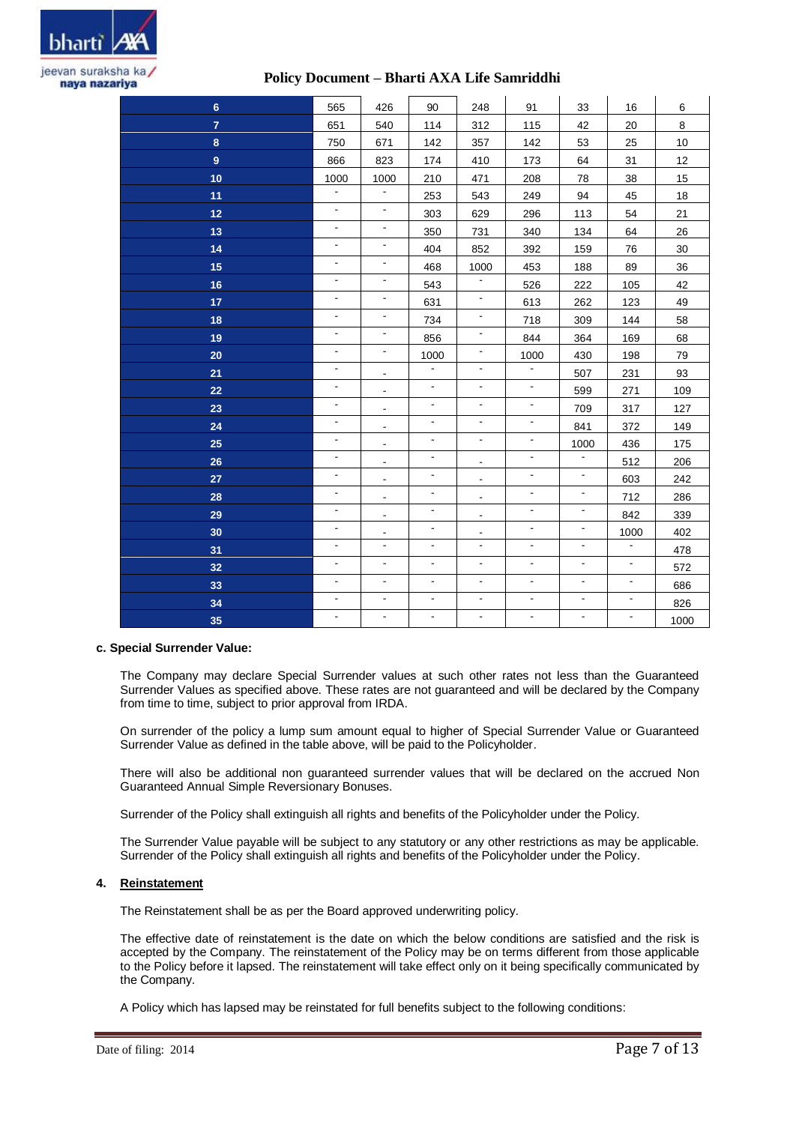

| $\bf 6$        | 565                      | 426                      | 90                       | 248                      | 91             | 33                       | 16                       | 6    |
|----------------|--------------------------|--------------------------|--------------------------|--------------------------|----------------|--------------------------|--------------------------|------|
| $\overline{7}$ | 651                      | 540                      | 114                      | 312                      | 115            | 42                       | 20                       | 8    |
| 8              | 750                      | 671                      | 142                      | 357                      | 142            | 53                       | 25                       | 10   |
| 9              | 866                      | 823                      | 174                      | 410                      | 173            | 64                       | 31                       | 12   |
| 10             | 1000                     | 1000                     | 210                      | 471                      | 208            | 78                       | 38                       | 15   |
| 11             | $\blacksquare$           | $\overline{\phantom{a}}$ | 253                      | 543                      | 249            | 94                       | 45                       | 18   |
| 12             | $\blacksquare$           | $\blacksquare$           | 303                      | 629                      | 296            | 113                      | 54                       | 21   |
| 13             | $\blacksquare$           | $\blacksquare$           | 350                      | 731                      | 340            | 134                      | 64                       | 26   |
| 14             | $\blacksquare$           | $\overline{\phantom{a}}$ | 404                      | 852                      | 392            | 159                      | 76                       | 30   |
| 15             | $\blacksquare$           | $\blacksquare$           | 468                      | 1000                     | 453            | 188                      | 89                       | 36   |
| 16             | $\blacksquare$           | $\blacksquare$           | 543                      | $\blacksquare$           | 526            | 222                      | 105                      | 42   |
| 17             | $\blacksquare$           | $\overline{\phantom{a}}$ | 631                      | $\overline{\phantom{a}}$ | 613            | 262                      | 123                      | 49   |
| 18             | $\blacksquare$           | $\blacksquare$           | 734                      | $\blacksquare$           | 718            | 309                      | 144                      | 58   |
| 19             | $\overline{\phantom{a}}$ | $\blacksquare$           | 856                      | $\overline{\phantom{a}}$ | 844            | 364                      | 169                      | 68   |
| 20             | $\blacksquare$           | $\blacksquare$           | 1000                     | $\overline{\phantom{a}}$ | 1000           | 430                      | 198                      | 79   |
| 21             | $\blacksquare$           | $\overline{\phantom{a}}$ | $\blacksquare$           | $\blacksquare$           | $\blacksquare$ | 507                      | 231                      | 93   |
| 22             | $\blacksquare$           | $\blacksquare$           | ä,                       | ä,                       | $\Box$         | 599                      | 271                      | 109  |
| 23             | $\blacksquare$           | $\overline{\phantom{a}}$ | $\blacksquare$           | $\blacksquare$           | $\Box$         | 709                      | 317                      | 127  |
| 24             | $\mathbb{Z}^2$           | $\frac{1}{2}$            | $\blacksquare$           | ä,                       | $\blacksquare$ | 841                      | 372                      | 149  |
| 25             | $\blacksquare$           | $\overline{\phantom{a}}$ | $\blacksquare$           | $\blacksquare$           | $\blacksquare$ | 1000                     | 436                      | 175  |
| 26             | $\blacksquare$           | $\frac{1}{2}$            | $\blacksquare$           | $\overline{\phantom{a}}$ | $\blacksquare$ | $\blacksquare$           | 512                      | 206  |
| 27             | $\blacksquare$           | $\overline{\phantom{0}}$ | $\overline{\phantom{a}}$ | $\blacksquare$           | $\blacksquare$ | $\blacksquare$           | 603                      | 242  |
| 28             | $\blacksquare$           | $\blacksquare$           | $\blacksquare$           | $\blacksquare$           | $\blacksquare$ | $\blacksquare$           | 712                      | 286  |
| 29             | $\blacksquare$           | $\blacksquare$           | $\blacksquare$           | $\overline{\phantom{a}}$ | $\Box$         | $\blacksquare$           | 842                      | 339  |
| 30             | $\blacksquare$           | $\overline{\phantom{0}}$ | $\frac{1}{2}$            | $\blacksquare$           | $\blacksquare$ | $\blacksquare$           | 1000                     | 402  |
| 31             | $\blacksquare$           | $\blacksquare$           | $\blacksquare$           | $\blacksquare$           | $\blacksquare$ | $\overline{\phantom{a}}$ | $\blacksquare$           | 478  |
| 32             | $\blacksquare$           | $\overline{\phantom{a}}$ | $\overline{\phantom{a}}$ | $\overline{\phantom{a}}$ | $\blacksquare$ | $\blacksquare$           | $\blacksquare$           | 572  |
| 33             | $\blacksquare$           | $\blacksquare$           | $\overline{\phantom{a}}$ | $\blacksquare$           | $\blacksquare$ | $\blacksquare$           | $\blacksquare$           | 686  |
| 34             | $\blacksquare$           | $\blacksquare$           | $\blacksquare$           | $\blacksquare$           | $\blacksquare$ | $\blacksquare$           | $\blacksquare$           | 826  |
| 35             | $\blacksquare$           | $\blacksquare$           | $\blacksquare$           | $\blacksquare$           | $\blacksquare$ | $\overline{\phantom{a}}$ | $\overline{\phantom{a}}$ | 1000 |
|                |                          |                          |                          |                          |                |                          |                          |      |

### **c. Special Surrender Value:**

The Company may declare Special Surrender values at such other rates not less than the Guaranteed Surrender Values as specified above. These rates are not guaranteed and will be declared by the Company from time to time, subject to prior approval from IRDA.

On surrender of the policy a lump sum amount equal to higher of Special Surrender Value or Guaranteed Surrender Value as defined in the table above, will be paid to the Policyholder.

There will also be additional non guaranteed surrender values that will be declared on the accrued Non Guaranteed Annual Simple Reversionary Bonuses.

Surrender of the Policy shall extinguish all rights and benefits of the Policyholder under the Policy.

The Surrender Value payable will be subject to any statutory or any other restrictions as may be applicable. Surrender of the Policy shall extinguish all rights and benefits of the Policyholder under the Policy.

### **4. Reinstatement**

The Reinstatement shall be as per the Board approved underwriting policy.

The effective date of reinstatement is the date on which the below conditions are satisfied and the risk is accepted by the Company. The reinstatement of the Policy may be on terms different from those applicable to the Policy before it lapsed. The reinstatement will take effect only on it being specifically communicated by the Company.

A Policy which has lapsed may be reinstated for full benefits subject to the following conditions: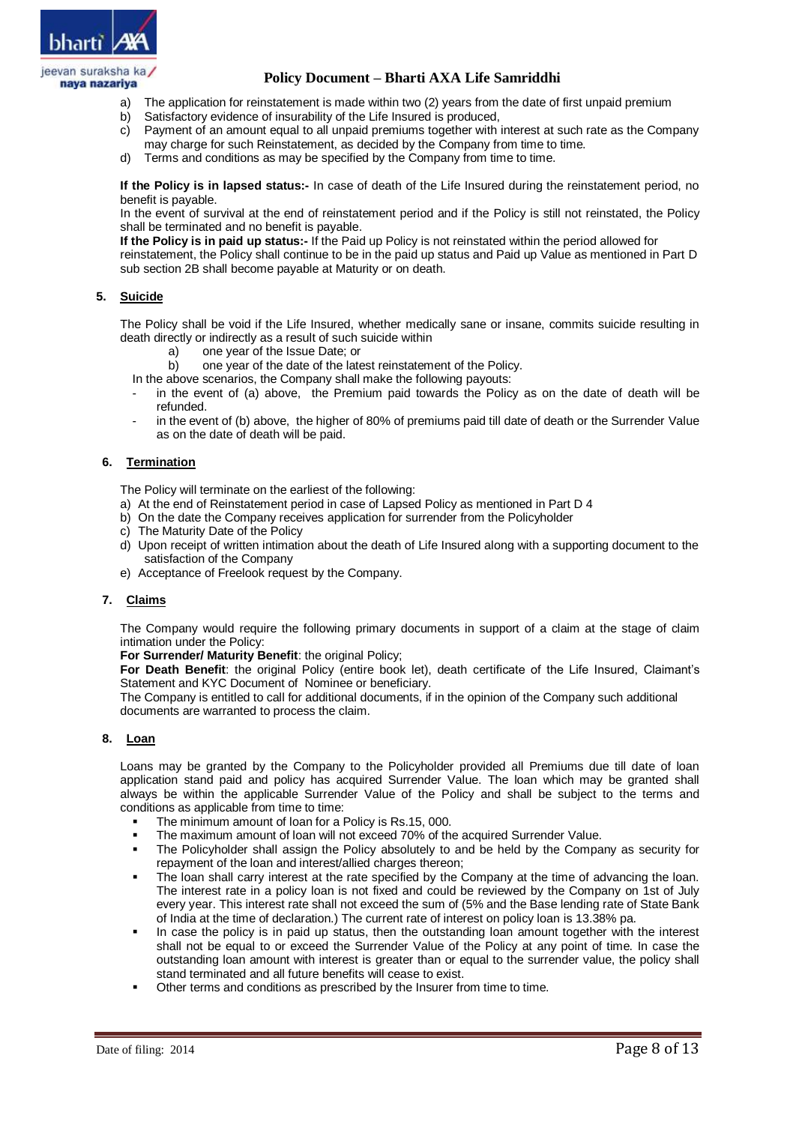

- a) The application for reinstatement is made within two (2) years from the date of first unpaid premium
- b) Satisfactory evidence of insurability of the Life Insured is produced,
- c) Payment of an amount equal to all unpaid premiums together with interest at such rate as the Company may charge for such Reinstatement, as decided by the Company from time to time.
- d) Terms and conditions as may be specified by the Company from time to time.

**If the Policy is in lapsed status:-** In case of death of the Life Insured during the reinstatement period, no benefit is payable.

In the event of survival at the end of reinstatement period and if the Policy is still not reinstated, the Policy shall be terminated and no benefit is payable.

**If the Policy is in paid up status:-** If the Paid up Policy is not reinstated within the period allowed for reinstatement, the Policy shall continue to be in the paid up status and Paid up Value as mentioned in Part D sub section 2B shall become payable at Maturity or on death.

## **5. Suicide**

The Policy shall be void if the Life Insured, whether medically sane or insane, commits suicide resulting in death directly or indirectly as a result of such suicide within

- one year of the Issue Date; or
- b) one year of the date of the latest reinstatement of the Policy.

In the above scenarios, the Company shall make the following payouts:

- in the event of (a) above, the Premium paid towards the Policy as on the date of death will be refunded.
- in the event of (b) above, the higher of 80% of premiums paid till date of death or the Surrender Value as on the date of death will be paid.

## **6. Termination**

The Policy will terminate on the earliest of the following:

- a) At the end of Reinstatement period in case of Lapsed Policy as mentioned in Part D 4
- b) On the date the Company receives application for surrender from the Policyholder
- c) The Maturity Date of the Policy
- d) Upon receipt of written intimation about the death of Life Insured along with a supporting document to the satisfaction of the Company
- e) Acceptance of Freelook request by the Company.

## **7. Claims**

The Company would require the following primary documents in support of a claim at the stage of claim intimation under the Policy:

**For Surrender/ Maturity Benefit**: the original Policy;

**For Death Benefit**: the original Policy (entire book let), death certificate of the Life Insured, Claimant's Statement and KYC Document of Nominee or beneficiary.

The Company is entitled to call for additional documents, if in the opinion of the Company such additional documents are warranted to process the claim.

## **8. Loan**

Loans may be granted by the Company to the Policyholder provided all Premiums due till date of loan application stand paid and policy has acquired Surrender Value. The loan which may be granted shall always be within the applicable Surrender Value of the Policy and shall be subject to the terms and conditions as applicable from time to time:

- The minimum amount of loan for a Policy is Rs.15, 000.
- The maximum amount of loan will not exceed 70% of the acquired Surrender Value.
- The Policyholder shall assign the Policy absolutely to and be held by the Company as security for repayment of the loan and interest/allied charges thereon;
- The loan shall carry interest at the rate specified by the Company at the time of advancing the loan. The interest rate in a policy loan is not fixed and could be reviewed by the Company on 1st of July every year. This interest rate shall not exceed the sum of (5% and the Base lending rate of State Bank of India at the time of declaration.) The current rate of interest on policy loan is 13.38% pa.
- In case the policy is in paid up status, then the outstanding loan amount together with the interest shall not be equal to or exceed the Surrender Value of the Policy at any point of time. In case the outstanding loan amount with interest is greater than or equal to the surrender value, the policy shall stand terminated and all future benefits will cease to exist.
- Other terms and conditions as prescribed by the Insurer from time to time.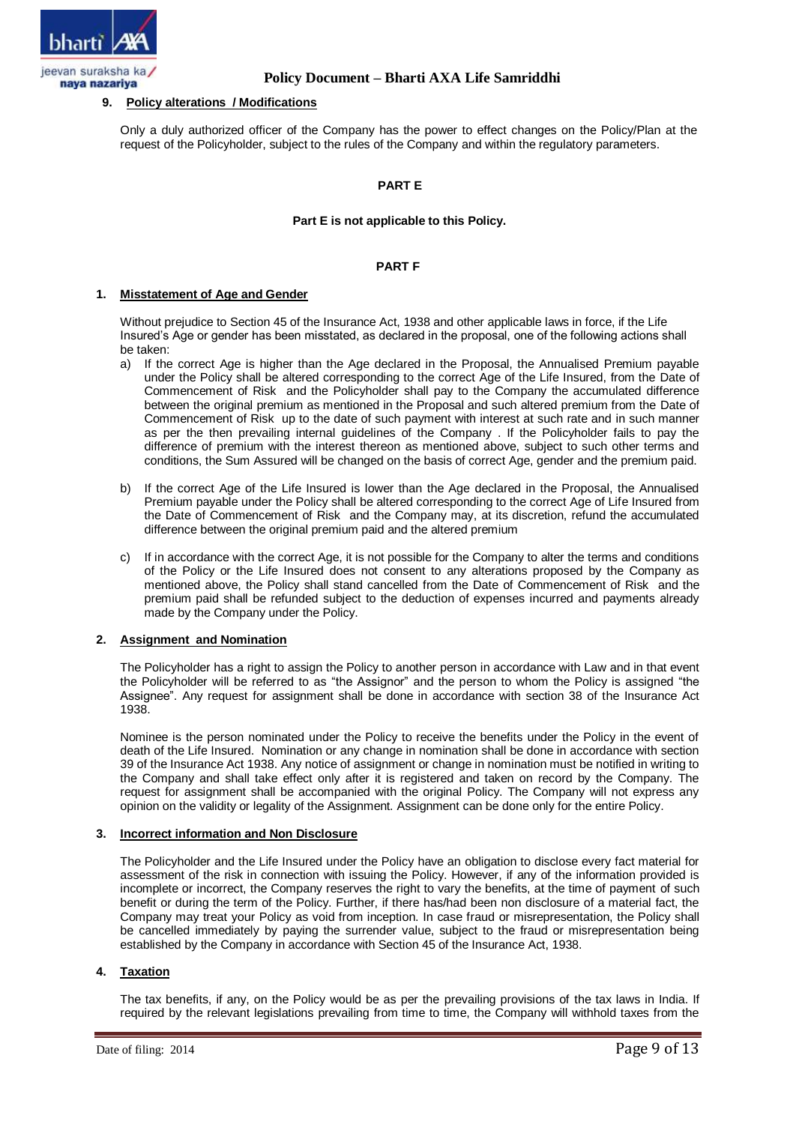

# **9. Policy alterations / Modifications**

Only a duly authorized officer of the Company has the power to effect changes on the Policy/Plan at the request of the Policyholder, subject to the rules of the Company and within the regulatory parameters.

# **PART E**

### **Part E is not applicable to this Policy.**

### **PART F**

#### **1. Misstatement of Age and Gender**

Without prejudice to Section 45 of the Insurance Act, 1938 and other applicable laws in force, if the Life Insured's Age or gender has been misstated, as declared in the proposal, one of the following actions shall be taken:

- a) If the correct Age is higher than the Age declared in the Proposal, the Annualised Premium payable under the Policy shall be altered corresponding to the correct Age of the Life Insured, from the Date of Commencement of Risk and the Policyholder shall pay to the Company the accumulated difference between the original premium as mentioned in the Proposal and such altered premium from the Date of Commencement of Risk up to the date of such payment with interest at such rate and in such manner as per the then prevailing internal guidelines of the Company . If the Policyholder fails to pay the difference of premium with the interest thereon as mentioned above, subject to such other terms and conditions, the Sum Assured will be changed on the basis of correct Age, gender and the premium paid.
- b) If the correct Age of the Life Insured is lower than the Age declared in the Proposal, the Annualised Premium payable under the Policy shall be altered corresponding to the correct Age of Life Insured from the Date of Commencement of Risk and the Company may, at its discretion, refund the accumulated difference between the original premium paid and the altered premium
- c) If in accordance with the correct Age, it is not possible for the Company to alter the terms and conditions of the Policy or the Life Insured does not consent to any alterations proposed by the Company as mentioned above, the Policy shall stand cancelled from the Date of Commencement of Risk and the premium paid shall be refunded subject to the deduction of expenses incurred and payments already made by the Company under the Policy.

## **2. Assignment and Nomination**

The Policyholder has a right to assign the Policy to another person in accordance with Law and in that event the Policyholder will be referred to as "the Assignor" and the person to whom the Policy is assigned "the Assignee". Any request for assignment shall be done in accordance with section 38 of the Insurance Act 1938.

Nominee is the person nominated under the Policy to receive the benefits under the Policy in the event of death of the Life Insured. Nomination or any change in nomination shall be done in accordance with section 39 of the Insurance Act 1938. Any notice of assignment or change in nomination must be notified in writing to the Company and shall take effect only after it is registered and taken on record by the Company. The request for assignment shall be accompanied with the original Policy. The Company will not express any opinion on the validity or legality of the Assignment. Assignment can be done only for the entire Policy.

#### **3. Incorrect information and Non Disclosure**

The Policyholder and the Life Insured under the Policy have an obligation to disclose every fact material for assessment of the risk in connection with issuing the Policy. However, if any of the information provided is incomplete or incorrect, the Company reserves the right to vary the benefits, at the time of payment of such benefit or during the term of the Policy. Further, if there has/had been non disclosure of a material fact, the Company may treat your Policy as void from inception. In case fraud or misrepresentation, the Policy shall be cancelled immediately by paying the surrender value, subject to the fraud or misrepresentation being established by the Company in accordance with Section 45 of the Insurance Act, 1938.

# **4. Taxation**

The tax benefits, if any, on the Policy would be as per the prevailing provisions of the tax laws in India. If required by the relevant legislations prevailing from time to time, the Company will withhold taxes from the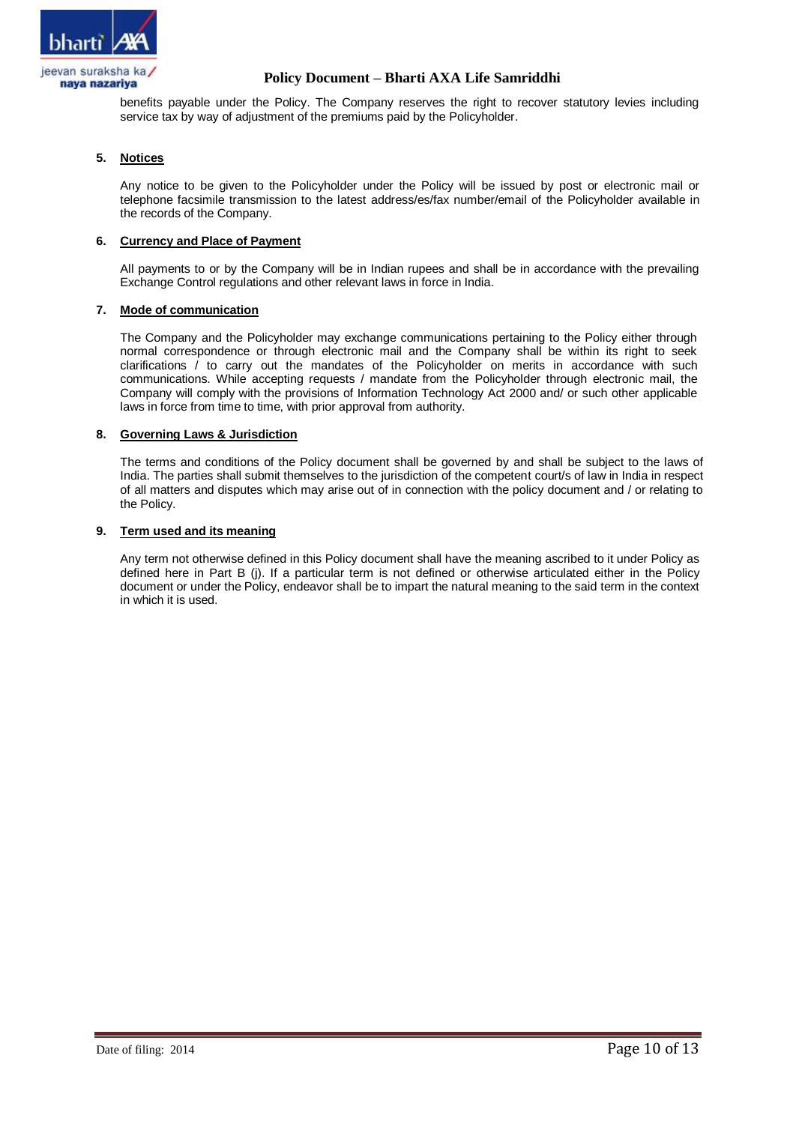

benefits payable under the Policy. The Company reserves the right to recover statutory levies including service tax by way of adjustment of the premiums paid by the Policyholder.

# **5. Notices**

Any notice to be given to the Policyholder under the Policy will be issued by post or electronic mail or telephone facsimile transmission to the latest address/es/fax number/email of the Policyholder available in the records of the Company.

## **6. Currency and Place of Payment**

All payments to or by the Company will be in Indian rupees and shall be in accordance with the prevailing Exchange Control regulations and other relevant laws in force in India.

## **7. Mode of communication**

The Company and the Policyholder may exchange communications pertaining to the Policy either through normal correspondence or through electronic mail and the Company shall be within its right to seek clarifications / to carry out the mandates of the Policyholder on merits in accordance with such communications. While accepting requests / mandate from the Policyholder through electronic mail, the Company will comply with the provisions of Information Technology Act 2000 and/ or such other applicable laws in force from time to time, with prior approval from authority.

### **8. Governing Laws & Jurisdiction**

The terms and conditions of the Policy document shall be governed by and shall be subject to the laws of India. The parties shall submit themselves to the jurisdiction of the competent court/s of law in India in respect of all matters and disputes which may arise out of in connection with the policy document and / or relating to the Policy.

### **9. Term used and its meaning**

Any term not otherwise defined in this Policy document shall have the meaning ascribed to it under Policy as defined here in Part B (j). If a particular term is not defined or otherwise articulated either in the Policy document or under the Policy, endeavor shall be to impart the natural meaning to the said term in the context in which it is used.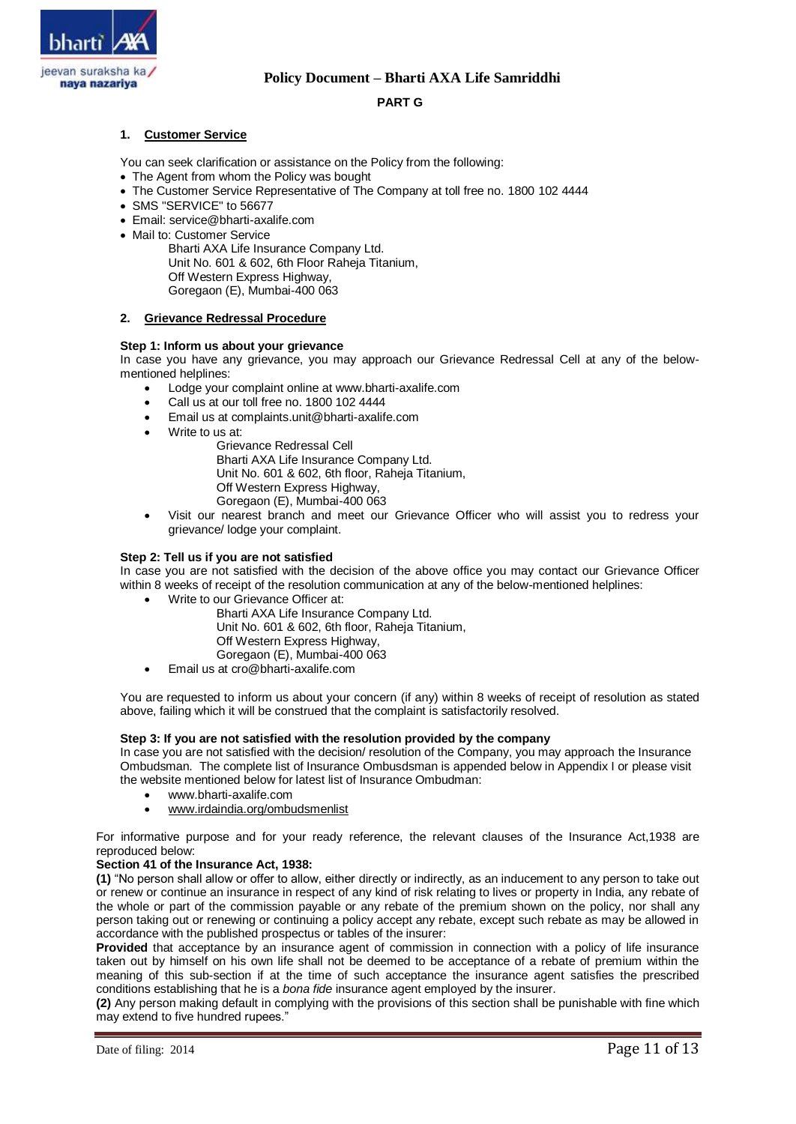

## **PART G**

## **1. Customer Service**

You can seek clarification or assistance on the Policy from the following:

- The Agent from whom the Policy was bought
- The Customer Service Representative of The Company at toll free no. 1800 102 4444
- SMS "SERVICE" to 56677
- Email: service@bharti-axalife.com
- Mail to: Customer Service

Bharti AXA Life Insurance Company Ltd. Unit No. 601 & 602, 6th Floor Raheja Titanium, Off Western Express Highway, Goregaon (E), Mumbai-400 063

### **2. Grievance Redressal Procedure**

### **Step 1: Inform us about your grievance**

In case you have any grievance, you may approach our Grievance Redressal Cell at any of the belowmentioned helplines:

- Lodge your complaint online at www.bharti-axalife.com
- Call us at our toll free no. 1800 102 4444
- Email us at complaints.unit@bharti-axalife.com
- Write to us at:

Grievance Redressal Cell Bharti AXA Life Insurance Company Ltd. Unit No. 601 & 602, 6th floor, Raheja Titanium, Off Western Express Highway, Goregaon (E), Mumbai-400 063

 Visit our nearest branch and meet our Grievance Officer who will assist you to redress your grievance/ lodge your complaint.

## **Step 2: Tell us if you are not satisfied**

In case you are not satisfied with the decision of the above office you may contact our Grievance Officer within 8 weeks of receipt of the resolution communication at any of the below-mentioned helplines:

- Write to our Grievance Officer at: Bharti AXA Life Insurance Company Ltd. Unit No. 601 & 602, 6th floor, Raheja Titanium,
	- Off Western Express Highway,
	- Goregaon (E), Mumbai-400 063
- Email us at cro@bharti-axalife.com

You are requested to inform us about your concern (if any) within 8 weeks of receipt of resolution as stated above, failing which it will be construed that the complaint is satisfactorily resolved.

### **Step 3: If you are not satisfied with the resolution provided by the company**

In case you are not satisfied with the decision/ resolution of the Company, you may approach the Insurance Ombudsman. The complete list of Insurance Ombusdsman is appended below in Appendix I or please visit the website mentioned below for latest list of Insurance Ombudman:

- www.bharti-axalife.com
- [www.irdaindia.org/ombudsmenlist](http://www.irdaindia.org/ombudsmenlist)

For informative purpose and for your ready reference, the relevant clauses of the Insurance Act,1938 are reproduced below:

#### **Section 41 of the Insurance Act, 1938:**

**(1)** "No person shall allow or offer to allow, either directly or indirectly, as an inducement to any person to take out or renew or continue an insurance in respect of any kind of risk relating to lives or property in India, any rebate of the whole or part of the commission payable or any rebate of the premium shown on the policy, nor shall any person taking out or renewing or continuing a policy accept any rebate, except such rebate as may be allowed in accordance with the published prospectus or tables of the insurer:

**Provided** that acceptance by an insurance agent of commission in connection with a policy of life insurance taken out by himself on his own life shall not be deemed to be acceptance of a rebate of premium within the meaning of this sub-section if at the time of such acceptance the insurance agent satisfies the prescribed conditions establishing that he is a *bona fide* insurance agent employed by the insurer.

**(2)** Any person making default in complying with the provisions of this section shall be punishable with fine which may extend to five hundred rupees."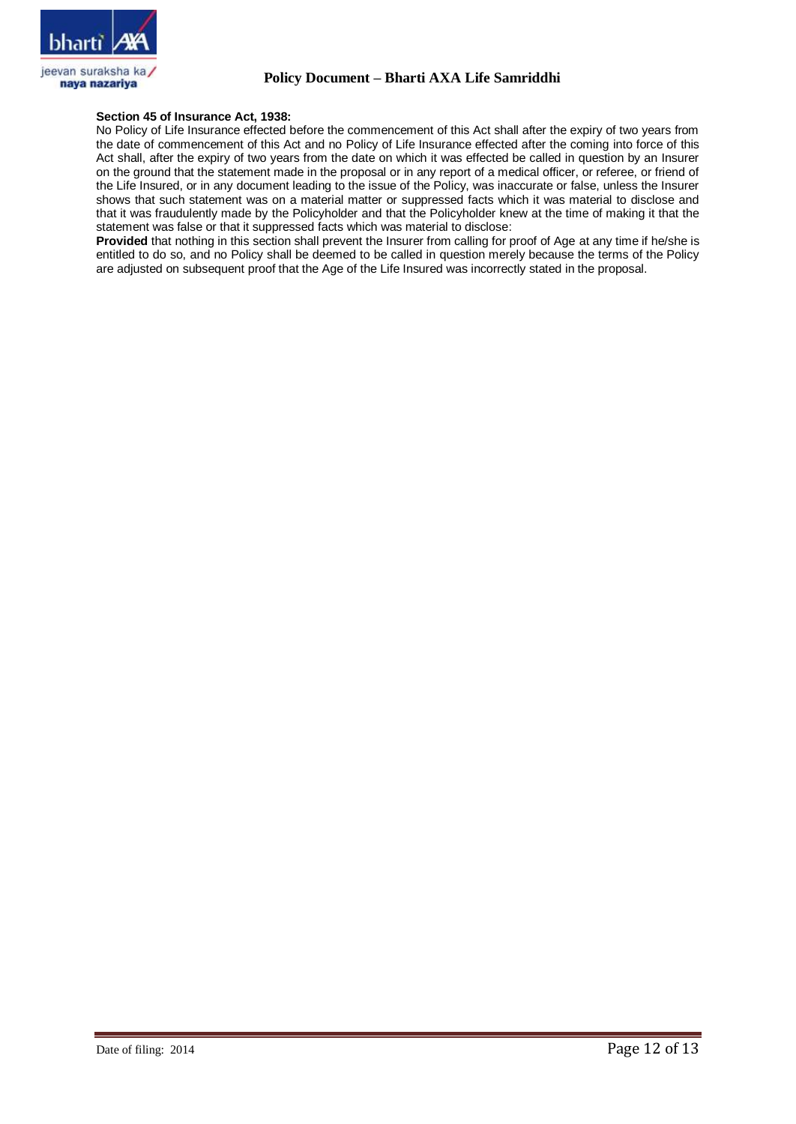

### **Section 45 of Insurance Act, 1938:**

No Policy of Life Insurance effected before the commencement of this Act shall after the expiry of two years from the date of commencement of this Act and no Policy of Life Insurance effected after the coming into force of this Act shall, after the expiry of two years from the date on which it was effected be called in question by an Insurer on the ground that the statement made in the proposal or in any report of a medical officer, or referee, or friend of the Life Insured, or in any document leading to the issue of the Policy, was inaccurate or false, unless the Insurer shows that such statement was on a material matter or suppressed facts which it was material to disclose and that it was fraudulently made by the Policyholder and that the Policyholder knew at the time of making it that the statement was false or that it suppressed facts which was material to disclose:

**Provided** that nothing in this section shall prevent the Insurer from calling for proof of Age at any time if he/she is entitled to do so, and no Policy shall be deemed to be called in question merely because the terms of the Policy are adjusted on subsequent proof that the Age of the Life Insured was incorrectly stated in the proposal.